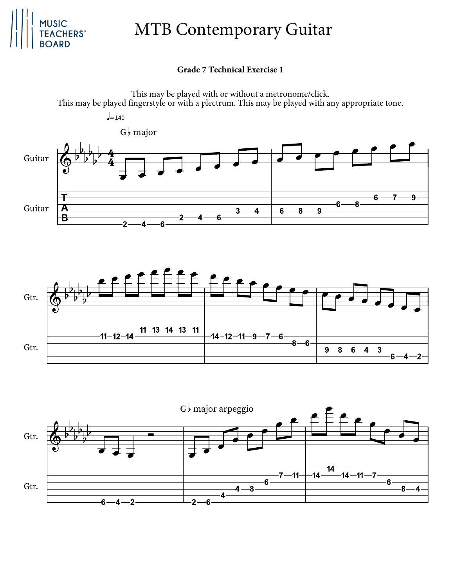

# MTB Contemporary Guitar

## **Grade 7 Technical Exercise 1**

This may be played with or without a metronome/click. This may be played fingerstyle or with a plectrum. This may be played with any appropriate tone.





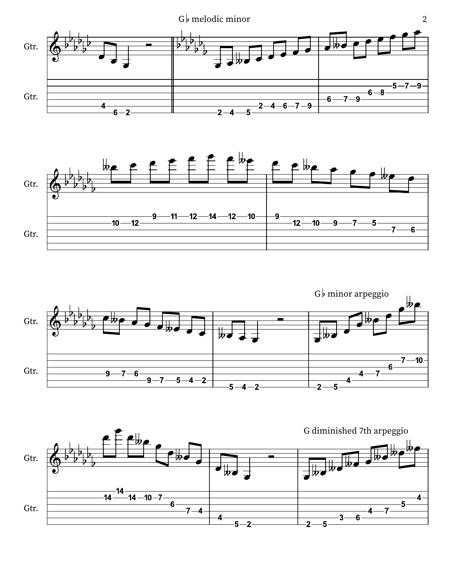





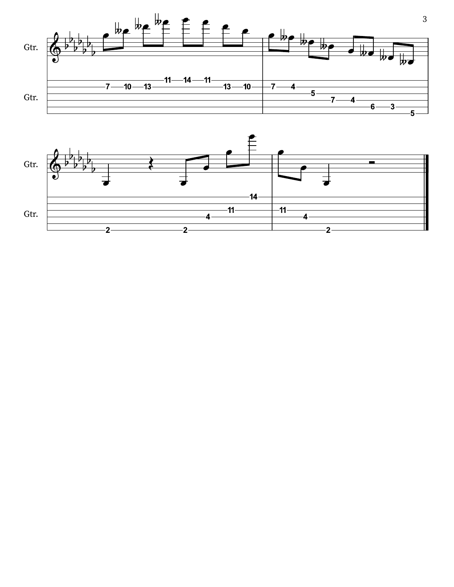

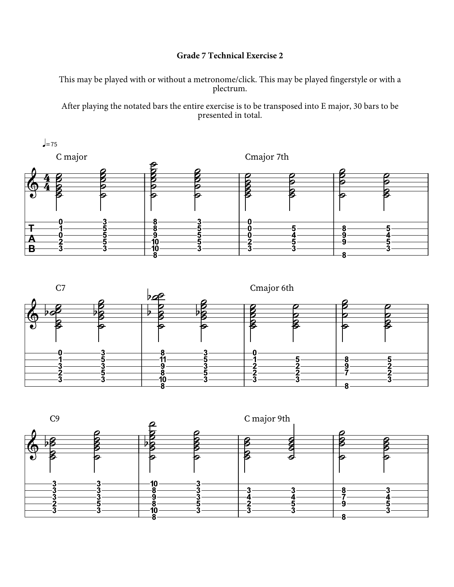# **Grade 7 Technical Exercise 2**

This may be played with or without a metronome/click. This may be played fingerstyle or with a plectrum.

After playing the notated bars the entire exercise is to be transposed into E major, 30 bars to be presented in total.





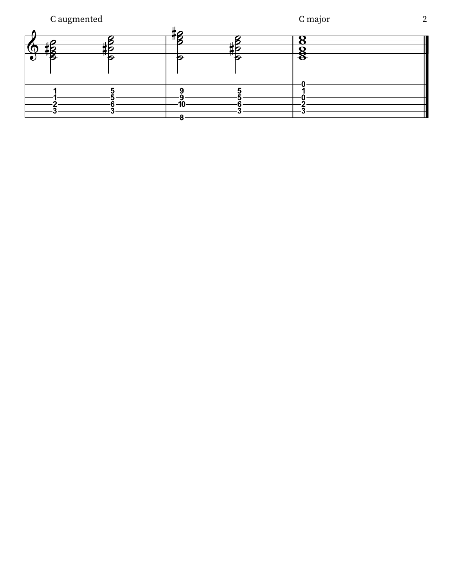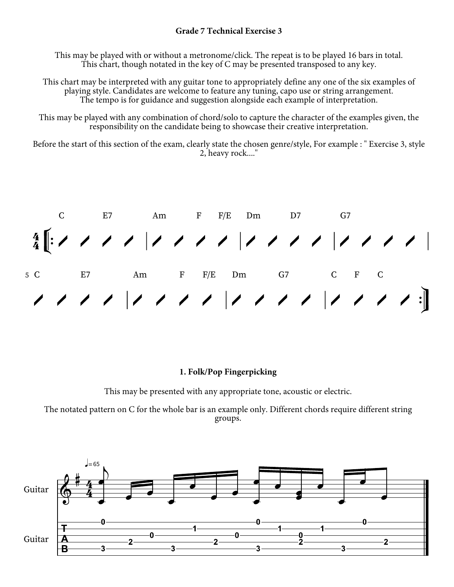# **Grade 7 Technical Exercise 3**

This may be played with or without a metronome/click. The repeat is to be played 16 bars in total. This chart, though notated in the key of C may be presented transposed to any key.

This chart may be interpreted with any guitar tone to appropriately define any one of the six examples of playing style. Candidates are welcome to feature any tuning, capo use or string arrangement. The tempo is for guidance and suggestion alongside each example of interpretation.

This may be played with any combination of chord/solo to capture the character of the examples given, the responsibility on the candidate being to showcase their creative interpretation.

Before the start of this section of the exam, clearly state the chosen genre/style, For example : " Exercise 3, style 2, heavy rock...."



## **1. Folk/Pop Fingerpicking**

This may be presented with any appropriate tone, acoustic or electric.

The notated pattern on C for the whole bar is an example only. Different chords require different string groups.

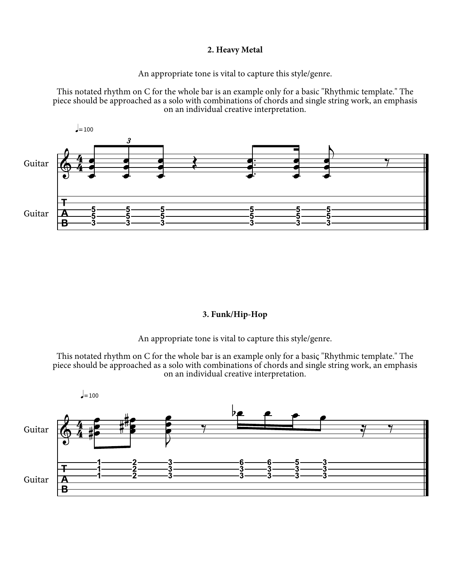## **2. Heavy Metal**

An appropriate tone is vital to capture this style/genre.

This notated rhythm on C for the whole bar is an example only for a basic "Rhythmic template." The piece should be approached as a solo with combinations of chords and single string work, an emphasis on an individual creative interpretation.



### **3. Funk/Hip-Hop**

An appropriate tone is vital to capture this style/genre.

This notated rhythm on C for the whole bar is an example only for a basic "Rhythmic template." The . piece should be approached as a solo with combinations of chords and single string work, an emphasis on an individual creative interpretation.

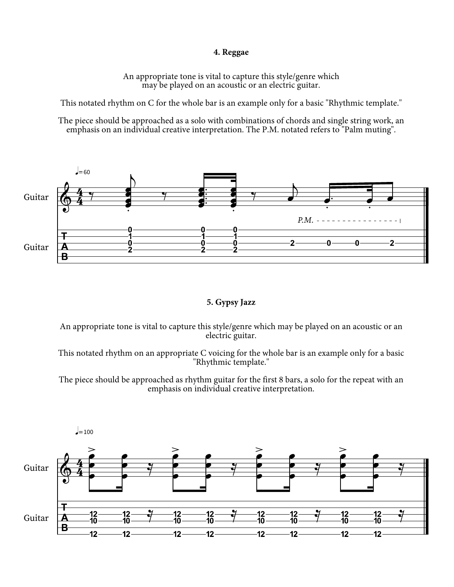#### **4. Reggae**

An appropriate tone is vital to capture this style/genre which may be played on an acoustic or an electric guitar.

This notated rhythm on C for the whole bar is an example only for a basic "Rhythmic template."

The piece should be approached as a solo with combinations of chords and single string work, an emphasis on an individual creative interpretation. The P.M. notated refers to "Palm muting".



### **5. Gypsy Jazz**

An appropriate tone is vital to capture this style/genre which may be played on an acoustic or an electric guitar.

This notated rhythm on an appropriate C voicing for the whole bar is an example only for a basic "Rhythmic template."

The piece should be approached as rhythm guitar for the first 8 bars, a solo for the repeat with an emphasis on individual creative interpretation.